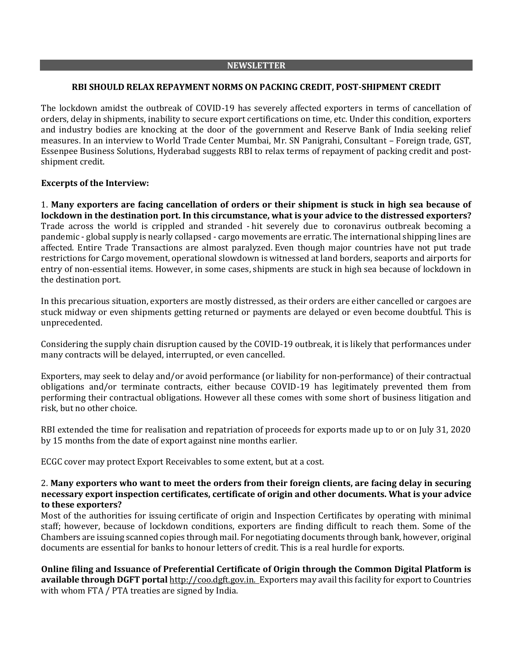#### **NEWSLETTER**

### **RBI SHOULD RELAX REPAYMENT NORMS ON PACKING CREDIT, POST-SHIPMENT CREDIT**

The lockdown amidst the outbreak of COVID-19 has severely affected exporters in terms of cancellation of orders, delay in shipments, inability to secure export certifications on time, etc. Under this condition, exporters and industry bodies are knocking at the door of the government and Reserve Bank of India seeking relief measures. In an interview to World Trade Center Mumbai, Mr. SN Panigrahi, Consultant – Foreign trade, GST, Essenpee Business Solutions, Hyderabad suggests RBI to relax terms of repayment of packing credit and postshipment credit.

### **Excerpts of the Interview:**

1. **Many exporters are facing cancellation of orders or their shipment is stuck in high sea because of lockdown in the destination port. In this circumstance, what is your advice to the distressed exporters?** Trade across the world is crippled and stranded - hit severely due to coronavirus outbreak becoming a pandemic - global supply is nearly collapsed - cargo movements are erratic. The international shipping lines are affected. Entire Trade Transactions are almost paralyzed. Even though major countries have not put trade restrictions for Cargo movement, operational slowdown is witnessed at land borders, seaports and airports for entry of non-essential items. However, in some cases, shipments are stuck in high sea because of lockdown in the destination port.

In this precarious situation, exporters are mostly distressed, as their orders are either cancelled or cargoes are stuck midway or even shipments getting returned or payments are delayed or even become doubtful. This is unprecedented.

Considering the supply chain disruption caused by the COVID-19 outbreak, it is likely that performances under many contracts will be delayed, interrupted, or even cancelled.

Exporters, may seek to delay and/or avoid performance (or liability for non-performance) of their contractual obligations and/or terminate contracts, either because COVID-19 has legitimately prevented them from performing their contractual obligations. However all these comes with some short of business litigation and risk, but no other choice.

RBI extended the time for realisation and repatriation of proceeds for exports made up to or on July 31, 2020 by 15 months from the date of export against nine months earlier.

ECGC cover may protect Export Receivables to some extent, but at a cost.

### 2. **Many exporters who want to meet the orders from their foreign clients, are facing delay in securing necessary export inspection certificates, certificate of origin and other documents. What is your advice to these exporters?**

Most of the authorities for issuing certificate of origin and Inspection Certificates by operating with minimal staff; however, because of lockdown conditions, exporters are finding difficult to reach them. Some of the Chambers are issuing scanned copies through mail. For negotiating documents through bank, however, original documents are essential for banks to honour letters of credit. This is a real hurdle for exports.

**Online filing and Issuance of Preferential Certificate of Origin through the Common Digital Platform is available through DGFT portal** [http://coo.dgft.gov.in.](https://www.rediffmail.com/cgi-bin/red.cgi?red=http%3A%2F%2Fcoo%2Edgft%2Egov%2Ein&isImage=0&BlockImage=0&rediffng=0&rogue=fa88bcd5292eda35040eda0663a558d754e53b16&rdf=VmYJaABoAmlRY11kBjxUYwAgA3VdZ1I9UWgJPAdn&els=7224665720fed3a4616466b32ed56544) Exporters may avail this facility for export to Countries with whom FTA / PTA treaties are signed by India.